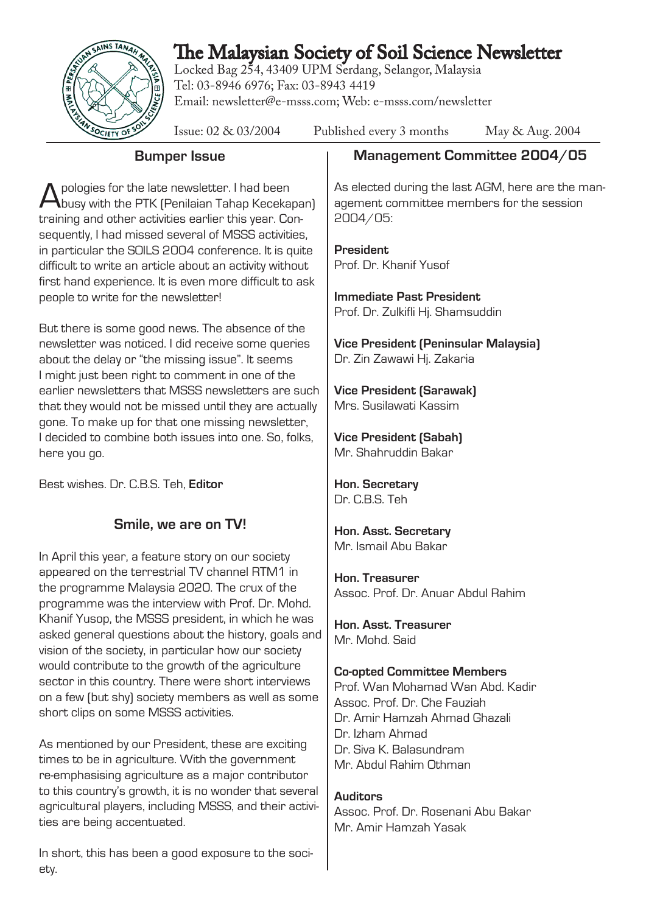

# The Malaysian Society of Soil Science Newsletter

Locked Bag 254, 43409 UPM Serdang, Selangor, Malaysia Tel: 03-8946 6976; Fax: 03-8943 4419 Email: newsletter@e-msss.com; Web: e-msss.com/newsletter

| TO AN SOCIETY OF SO<br>Issue: 02 & 03/2004<br>Published every 3 months<br>May & Aug. 2004                                                                                                                                                                                                                                                |  |
|------------------------------------------------------------------------------------------------------------------------------------------------------------------------------------------------------------------------------------------------------------------------------------------------------------------------------------------|--|
| Management Committee 2004/05                                                                                                                                                                                                                                                                                                             |  |
| As elected during the last AGM, here are the man-<br>agement committee members for the session<br>2004/05<br>President<br>Prof. Dr. Khanif Yusof<br><b>Immediate Past President</b><br>Prof. Dr. Zulkifli Hj. Shamsuddin<br><b>Vice President (Peninsular Malaysia)</b><br>Dr. Zin Zawawi Hj. Zakaria                                    |  |
| <b>Vice President (Sarawak)</b><br>Mrs. Susilawati Kassim                                                                                                                                                                                                                                                                                |  |
| <b>Vice President (Sabah)</b><br>Mr. Shahruddin Bakar                                                                                                                                                                                                                                                                                    |  |
| Hon. Secretary<br>Dr. C.B.S. Teh                                                                                                                                                                                                                                                                                                         |  |
| Hon. Asst. Secretary                                                                                                                                                                                                                                                                                                                     |  |
| Mr. Ismail Abu Bakar<br>Hon. Treasurer<br>Assoc. Prof. Dr. Anuar Abdul Rahim<br>Hon. Asst. Treasurer<br>Mr. Mohd. Said<br><b>Co-opted Committee Members</b><br>Prof. Wan Mohamad Wan Abd. Kadir<br>Assoc. Prof. Dr. Che Fauziah<br>Dr. Amir Hamzah Ahmad Ghazali<br>Dr. Izham Ahmad<br>Dr. Siva K. Balasundram<br>Mr. Abdul Rahim Othman |  |
| asked general questions about the history, goals and                                                                                                                                                                                                                                                                                     |  |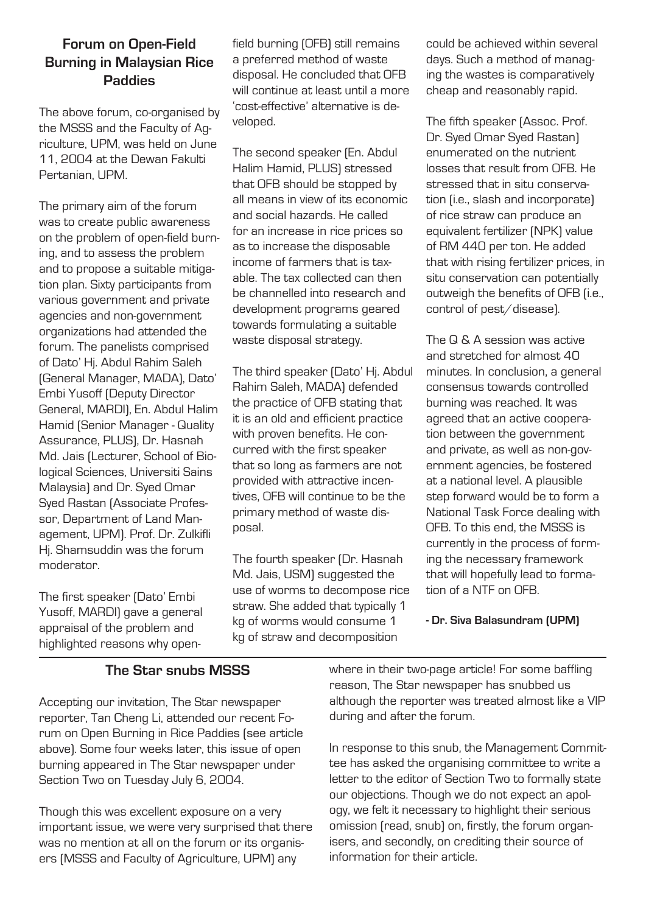#### **Forum on Open-Field Burning in Malaysian Rice Paddies**

The above forum, co-organised by the MSSS and the Faculty of Agriculture, UPM, was held on June 11, 2004 at the Dewan Fakulti Pertanian, UPM.

The primary aim of the forum was to create public awareness on the problem of open-field burning, and to assess the problem and to propose a suitable mitigation plan. Sixty participants from various government and private agencies and non-government organizations had attended the forum. The panelists comprised of Dato' Hj. Abdul Rahim Saleh (General Manager, MADA), Dato' Embi Yusoff (Deputy Director General, MARDI), En. Abdul Halim Hamid (Senior Manager - Quality Assurance, PLUS), Dr. Hasnah Md. Jais (Lecturer, School of Biological Sciences, Universiti Sains Malaysia) and Dr. Syed Omar Syed Rastan (Associate Professor, Department of Land Management, UPM). Prof. Dr. Zulkifli Hj. Shamsuddin was the forum moderator.

The first speaker (Dato' Embi Yusoff, MARDI) gave a general appraisal of the problem and highlighted reasons why openfield burning (OFB) still remains a preferred method of waste disposal. He concluded that OFB will continue at least until a more 'cost-effective' alternative is developed.

The second speaker (En. Abdul Halim Hamid, PLUS) stressed that OFB should be stopped by all means in view of its economic and social hazards. He called for an increase in rice prices so as to increase the disposable income of farmers that is taxable. The tax collected can then be channelled into research and development programs geared towards formulating a suitable waste disposal strategy.

The third speaker (Dato' Hj. Abdul Rahim Saleh, MADA) defended the practice of OFB stating that it is an old and efficient practice with proven benefits. He concurred with the first speaker that so long as farmers are not provided with attractive incentives, OFB will continue to be the primary method of waste disposal.

The fourth speaker (Dr. Hasnah Md. Jais, USM) suggested the use of worms to decompose rice straw. She added that typically 1 kg of worms would consume 1 kg of straw and decomposition

could be achieved within several days. Such a method of managing the wastes is comparatively cheap and reasonably rapid.

The fifth speaker (Assoc. Prof. Dr. Syed Omar Syed Rastan) enumerated on the nutrient losses that result from OFB. He stressed that in situ conservation (i.e., slash and incorporate) of rice straw can produce an equivalent fertilizer (NPK) value of RM 440 per ton. He added that with rising fertilizer prices, in situ conservation can potentially outweigh the benefits of OFB (i.e., control of pest/disease).

The Q & A session was active and stretched for almost 40 minutes. In conclusion, a general consensus towards controlled burning was reached. It was agreed that an active cooperation between the government and private, as well as non-government agencies, be fostered at a national level. A plausible step forward would be to form a National Task Force dealing with OFB. To this end, the MSSS is currently in the process of forming the necessary framework that will hopefully lead to formation of a NTF on OFB.

#### **The Star snubs MSSS**

Accepting our invitation, The Star newspaper reporter, Tan Cheng Li, attended our recent Forum on Open Burning in Rice Paddies (see article above). Some four weeks later, this issue of open burning appeared in The Star newspaper under Section Two on Tuesday July 6, 2004.

Though this was excellent exposure on a very important issue, we were very surprised that there was no mention at all on the forum or its organisers (MSSS and Faculty of Agriculture, UPM) any

where in their two-page article! For some baffling reason, The Star newspaper has snubbed us although the reporter was treated almost like a VIP during and after the forum.

In response to this snub, the Management Committee has asked the organising committee to write a letter to the editor of Section Two to formally state our objections. Though we do not expect an apology, we felt it necessary to highlight their serious omission (read, snub) on, firstly, the forum organisers, and secondly, on crediting their source of information for their article.

**<sup>-</sup> Dr. Siva Balasundram (UPM)**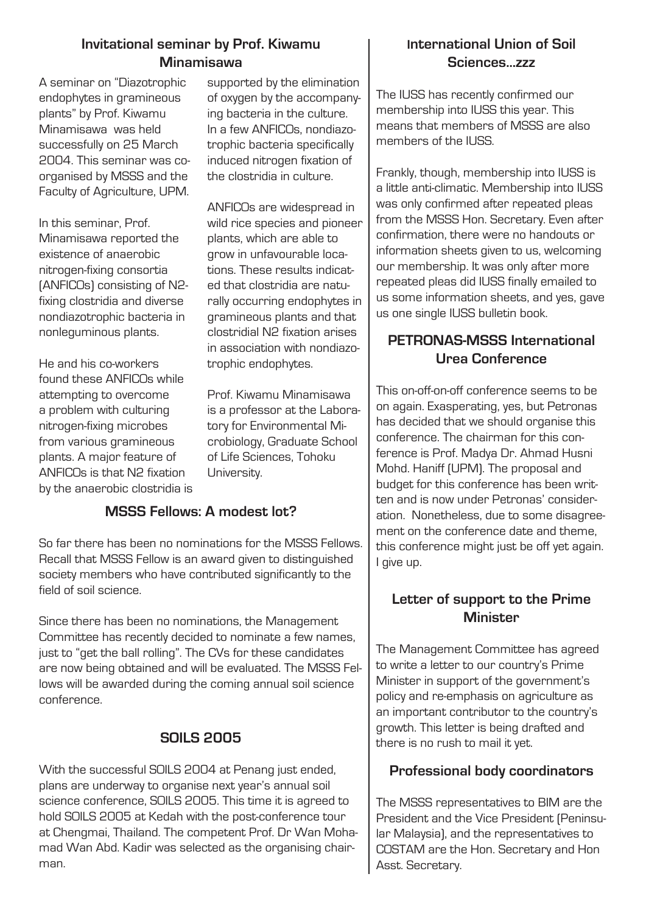### **Invitational seminar by Prof. Kiwamu Minamisawa**

A seminar on "Diazotrophic endophytes in gramineous plants" by Prof. Kiwamu Minamisawa was held successfully on 25 March 2004. This seminar was coorganised by MSSS and the Faculty of Agriculture, UPM.

In this seminar, Prof. Minamisawa reported the existence of anaerobic nitrogen-fixing consortia (ANFICOs) consisting of N2 fixing clostridia and diverse nondiazotrophic bacteria in nonleguminous plants.

He and his co-workers found these ANFICOs while attempting to overcome a problem with culturing nitrogen-fixing microbes from various gramineous plants. A major feature of ANFICOs is that N2 fixation by the anaerobic clostridia is supported by the elimination of oxygen by the accompanying bacteria in the culture. In a few ANFICOs, nondiazotrophic bacteria specifically induced nitrogen fixation of the clostridia in culture.

ANFICOs are widespread in wild rice species and pioneer plants, which are able to grow in unfavourable locations. These results indicated that clostridia are naturally occurring endophytes in gramineous plants and that clostridial N2 fixation arises in association with nondiazotrophic endophytes.

Prof. Kiwamu Minamisawa is a professor at the Laboratory for Environmental Microbiology, Graduate School of Life Sciences, Tohoku University.

### **MSSS Fellows: A modest lot?**

So far there has been no nominations for the MSSS Fellows. Recall that MSSS Fellow is an award given to distinguished society members who have contributed significantly to the field of soil science.

Since there has been no nominations, the Management Committee has recently decided to nominate a few names, just to "get the ball rolling". The CVs for these candidates are now being obtained and will be evaluated. The MSSS Fellows will be awarded during the coming annual soil science conference.

# **SOILS 2005**

With the successful SOILS 2004 at Penang just ended, plans are underway to organise next year's annual soil science conference, SOILS 2005. This time it is agreed to hold SOILS 2005 at Kedah with the post-conference tour at Chengmai, Thailand. The competent Prof. Dr Wan Mohamad Wan Abd. Kadir was selected as the organising chairman.

# **International Union of Soil Sciences...zzz**

The IUSS has recently confirmed our membership into IUSS this year. This means that members of MSSS are also members of the IUSS.

Frankly, though, membership into IUSS is a little anti-climatic. Membership into IUSS was only confirmed after repeated pleas from the MSSS Hon. Secretary. Even after confirmation, there were no handouts or information sheets given to us, welcoming our membership. It was only after more repeated pleas did IUSS finally emailed to us some information sheets, and yes, gave us one single IUSS bulletin book.

## **PETRONAS-MSSS International Urea Conference**

This on-off-on-off conference seems to be on again. Exasperating, yes, but Petronas has decided that we should organise this conference. The chairman for this conference is Prof. Madya Dr. Ahmad Husni Mohd. Haniff (UPM). The proposal and budget for this conference has been written and is now under Petronas' consideration. Nonetheless, due to some disagreement on the conference date and theme, this conference might just be off yet again. I give up.

## **Letter of support to the Prime Minister**

The Management Committee has agreed to write a letter to our country's Prime Minister in support of the government's policy and re-emphasis on agriculture as an important contributor to the country's growth. This letter is being drafted and there is no rush to mail it yet.

# **Professional body coordinators**

The MSSS representatives to BIM are the President and the Vice President (Peninsular Malaysia), and the representatives to COSTAM are the Hon. Secretary and Hon Asst. Secretary.